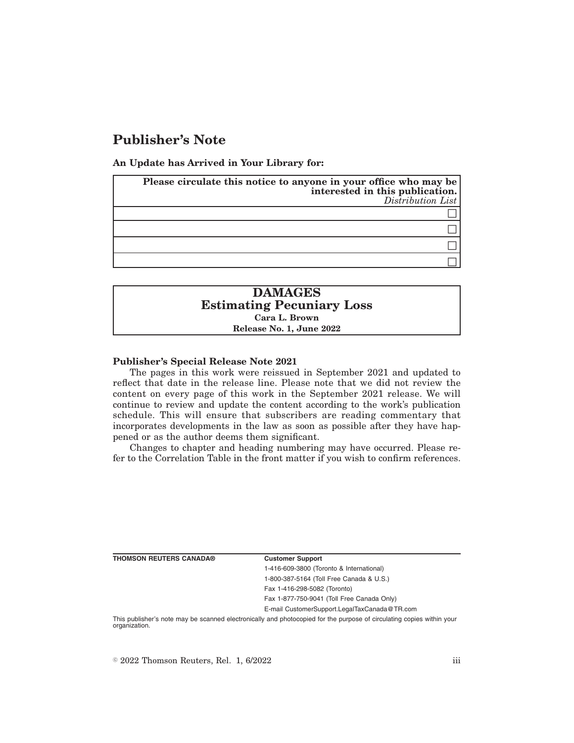# **Publisher's Note**

**An Update has Arrived in Your Library for:**

| Please circulate this notice to anyone in your office who may be<br>interested in this publication.<br>Distribution List |
|--------------------------------------------------------------------------------------------------------------------------|
|                                                                                                                          |
|                                                                                                                          |
|                                                                                                                          |
|                                                                                                                          |

## **DAMAGES Estimating Pecuniary Loss Cara L. Brown Release No. 1, June 2022**

#### **Publisher's Special Release Note 2021**

The pages in this work were reissued in September 2021 and updated to reflect that date in the release line. Please note that we did not review the content on every page of this work in the September 2021 release. We will continue to review and update the content according to the work's publication schedule. This will ensure that subscribers are reading commentary that incorporates developments in the law as soon as possible after they have happened or as the author deems them significant.

Changes to chapter and heading numbering may have occurred. Please refer to the Correlation Table in the front matter if you wish to confirm references.

| <b>Customer Support</b>                      |
|----------------------------------------------|
| 1-416-609-3800 (Toronto & International)     |
| 1-800-387-5164 (Toll Free Canada & U.S.)     |
| Fax 1-416-298-5082 (Toronto)                 |
| Fax 1-877-750-9041 (Toll Free Canada Only)   |
| E-mail CustomerSupport.LegalTaxCanada@TR.com |

This publisher's note may be scanned electronically and photocopied for the purpose of circulating copies within your organization.

 $\degree$  2022 Thomson Reuters, Rel. 1, 6/2022 iii

**THOMSON REUTERS CANADA®**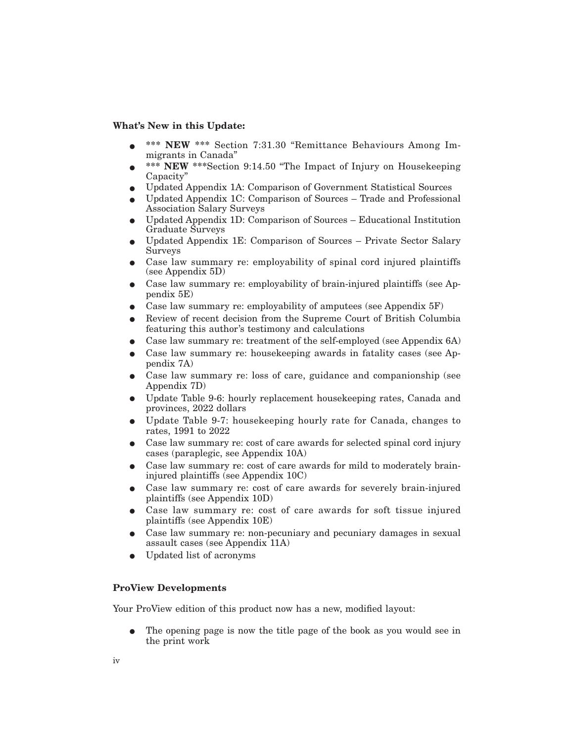#### **What's New in this Update:**

- \*\*\* NEW \*\*\* Section 7:31.30 "Remittance Behaviours Among Immigrants in Canada"
- \*\*\* NEW \*\*\*Section 9:14.50 "The Impact of Injury on Housekeeping Capacity"
- E Updated Appendix 1A: Comparison of Government Statistical Sources
- E Updated Appendix 1C: Comparison of Sources Trade and Professional Association Salary Surveys
- $\bullet$  Updated Appendix 1D: Comparison of Sources Educational Institution Graduate Surveys
- E Updated Appendix 1E: Comparison of Sources Private Sector Salary Surveys
- E Case law summary re: employability of spinal cord injured plaintiffs (see Appendix 5D)
- E Case law summary re: employability of brain-injured plaintiffs (see Appendix 5E)
- Case law summary re: employability of amputees (see Appendix 5F)
- E Review of recent decision from the Supreme Court of British Columbia featuring this author's testimony and calculations
- E Case law summary re: treatment of the self-employed (see Appendix 6A)
- E Case law summary re: housekeeping awards in fatality cases (see Appendix 7A)
- E Case law summary re: loss of care, guidance and companionship (see Appendix 7D)
- E Update Table 9-6: hourly replacement housekeeping rates, Canada and provinces, 2022 dollars
- E Update Table 9-7: housekeeping hourly rate for Canada, changes to rates, 1991 to 2022
- Case law summary re: cost of care awards for selected spinal cord injury cases (paraplegic, see Appendix 10A)
- Case law summary re: cost of care awards for mild to moderately braininjured plaintiffs (see Appendix 10C)
- Case law summary re: cost of care awards for severely brain-injured plaintiffs (see Appendix 10D)
- Case law summary re: cost of care awards for soft tissue injured plaintiffs (see Appendix 10E)
- E Case law summary re: non-pecuniary and pecuniary damages in sexual assault cases (see Appendix 11A)
- E Updated list of acronyms

### **ProView Developments**

Your ProView edition of this product now has a new, modified layout:

The opening page is now the title page of the book as you would see in the print work